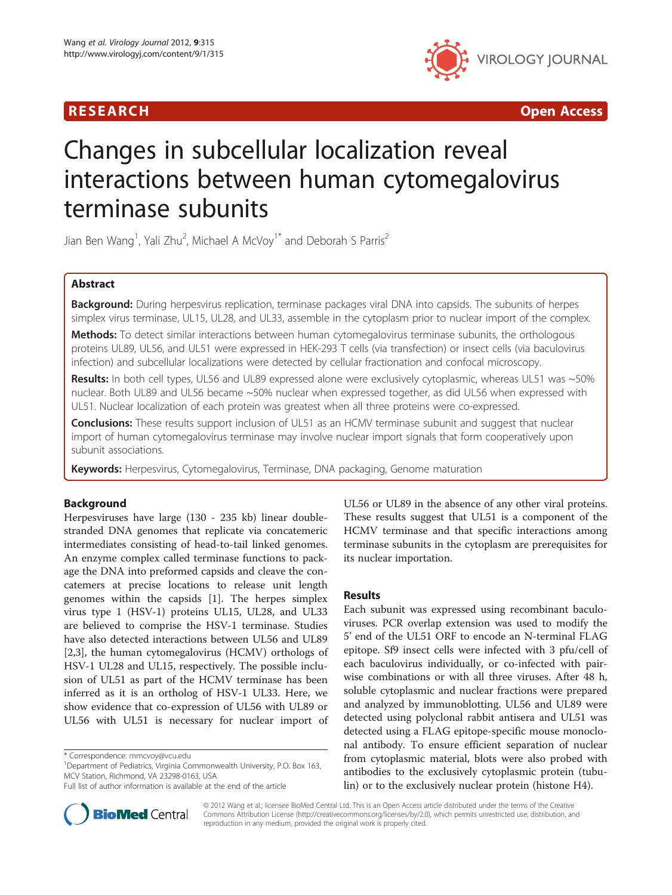



# Changes in subcellular localization reveal interactions between human cytomegalovirus terminase subunits

Jian Ben Wang<sup>1</sup>, Yali Zhu<sup>2</sup>, Michael A McVoy<sup>1\*</sup> and Deborah S Parris<sup>2</sup>

# Abstract

Background: During herpesvirus replication, terminase packages viral DNA into capsids. The subunits of herpes simplex virus terminase, UL15, UL28, and UL33, assemble in the cytoplasm prior to nuclear import of the complex.

Methods: To detect similar interactions between human cytomegalovirus terminase subunits, the orthologous proteins UL89, UL56, and UL51 were expressed in HEK-293 T cells (via transfection) or insect cells (via baculovirus infection) and subcellular localizations were detected by cellular fractionation and confocal microscopy.

Results: In both cell types, UL56 and UL89 expressed alone were exclusively cytoplasmic, whereas UL51 was ~50% nuclear. Both UL89 and UL56 became ~50% nuclear when expressed together, as did UL56 when expressed with UL51. Nuclear localization of each protein was greatest when all three proteins were co-expressed.

**Conclusions:** These results support inclusion of UL51 as an HCMV terminase subunit and suggest that nuclear import of human cytomegalovirus terminase may involve nuclear import signals that form cooperatively upon subunit associations.

Keywords: Herpesvirus, Cytomegalovirus, Terminase, DNA packaging, Genome maturation

# Background

Herpesviruses have large (130 - 235 kb) linear doublestranded DNA genomes that replicate via concatemeric intermediates consisting of head-to-tail linked genomes. An enzyme complex called terminase functions to package the DNA into preformed capsids and cleave the concatemers at precise locations to release unit length genomes within the capsids [[1\]](#page-6-0). The herpes simplex virus type 1 (HSV-1) proteins UL15, UL28, and UL33 are believed to comprise the HSV-1 terminase. Studies have also detected interactions between UL56 and UL89 [[2,3\]](#page-6-0), the human cytomegalovirus (HCMV) orthologs of HSV-1 UL28 and UL15, respectively. The possible inclusion of UL51 as part of the HCMV terminase has been inferred as it is an ortholog of HSV-1 UL33. Here, we show evidence that co-expression of UL56 with UL89 or UL56 with UL51 is necessary for nuclear import of

\* Correspondence: [mmcvoy@vcu.edu](mailto:mmcvoy@vcu.edu) <sup>1</sup>

<sup>1</sup>Department of Pediatrics, Virginia Commonwealth University, P.O. Box 163, MCV Station, Richmond, VA 23298-0163, USA



# Results

Each subunit was expressed using recombinant baculoviruses. PCR overlap extension was used to modify the 5' end of the UL51 ORF to encode an N-terminal FLAG epitope. Sf9 insect cells were infected with 3 pfu/cell of each baculovirus individually, or co-infected with pairwise combinations or with all three viruses. After 48 h, soluble cytoplasmic and nuclear fractions were prepared and analyzed by immunoblotting. UL56 and UL89 were detected using polyclonal rabbit antisera and UL51 was detected using a FLAG epitope-specific mouse monoclonal antibody. To ensure efficient separation of nuclear from cytoplasmic material, blots were also probed with antibodies to the exclusively cytoplasmic protein (tubulin) or to the exclusively nuclear protein (histone H4).



© 2012 Wang et al.; licensee BioMed Central Ltd. This is an Open Access article distributed under the terms of the Creative Commons Attribution License [\(http://creativecommons.org/licenses/by/2.0\)](http://creativecommons.org/licenses/by/2.0), which permits unrestricted use, distribution, and reproduction in any medium, provided the original work is properly cited.

Full list of author information is available at the end of the article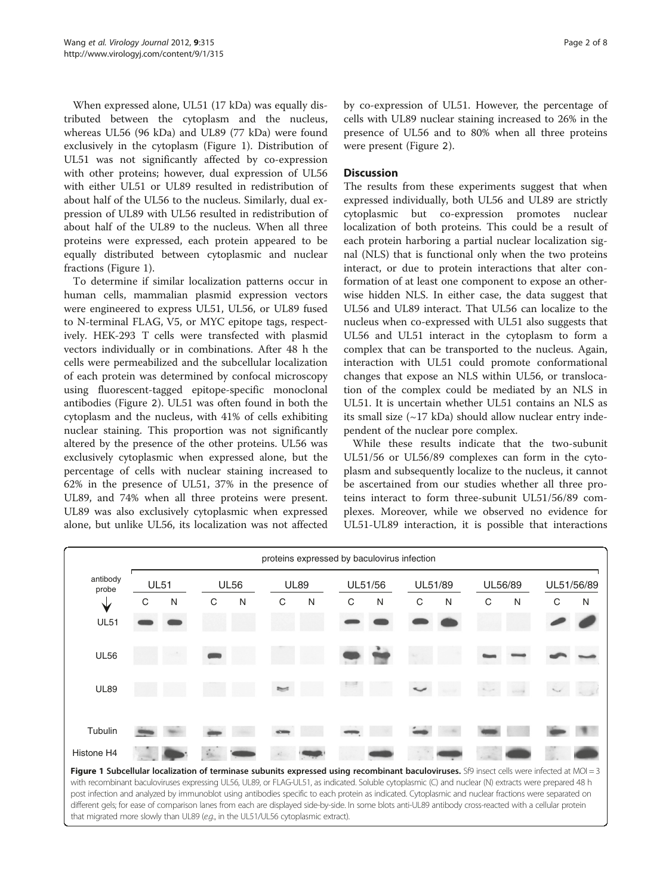When expressed alone, UL51 (17 kDa) was equally distributed between the cytoplasm and the nucleus, whereas UL56 (96 kDa) and UL89 (77 kDa) were found exclusively in the cytoplasm (Figure 1). Distribution of UL51 was not significantly affected by co-expression with other proteins; however, dual expression of UL56 with either UL51 or UL89 resulted in redistribution of about half of the UL56 to the nucleus. Similarly, dual expression of UL89 with UL56 resulted in redistribution of about half of the UL89 to the nucleus. When all three proteins were expressed, each protein appeared to be equally distributed between cytoplasmic and nuclear fractions (Figure 1).

To determine if similar localization patterns occur in human cells, mammalian plasmid expression vectors were engineered to express UL51, UL56, or UL89 fused to N-terminal FLAG, V5, or MYC epitope tags, respectively. HEK-293 T cells were transfected with plasmid vectors individually or in combinations. After 48 h the cells were permeabilized and the subcellular localization of each protein was determined by confocal microscopy using fluorescent-tagged epitope-specific monoclonal antibodies (Figure [2](#page-2-0)). UL51 was often found in both the cytoplasm and the nucleus, with 41% of cells exhibiting nuclear staining. This proportion was not significantly altered by the presence of the other proteins. UL56 was exclusively cytoplasmic when expressed alone, but the percentage of cells with nuclear staining increased to 62% in the presence of UL51, 37% in the presence of UL89, and 74% when all three proteins were present. UL89 was also exclusively cytoplasmic when expressed alone, but unlike UL56, its localization was not affected by co-expression of UL51. However, the percentage of cells with UL89 nuclear staining increased to 26% in the presence of UL56 and to 80% when all three proteins were present (Figure [2](#page-2-0)).

## **Discussion**

The results from these experiments suggest that when expressed individually, both UL56 and UL89 are strictly cytoplasmic but co-expression promotes nuclear localization of both proteins. This could be a result of each protein harboring a partial nuclear localization signal (NLS) that is functional only when the two proteins interact, or due to protein interactions that alter conformation of at least one component to expose an otherwise hidden NLS. In either case, the data suggest that UL56 and UL89 interact. That UL56 can localize to the nucleus when co-expressed with UL51 also suggests that UL56 and UL51 interact in the cytoplasm to form a complex that can be transported to the nucleus. Again, interaction with UL51 could promote conformational changes that expose an NLS within UL56, or translocation of the complex could be mediated by an NLS in UL51. It is uncertain whether UL51 contains an NLS as its small size  $(\sim 17 \text{ kDa})$  should allow nuclear entry independent of the nuclear pore complex.

While these results indicate that the two-subunit UL51/56 or UL56/89 complexes can form in the cytoplasm and subsequently localize to the nucleus, it cannot be ascertained from our studies whether all three proteins interact to form three-subunit UL51/56/89 complexes. Moreover, while we observed no evidence for UL51-UL89 interaction, it is possible that interactions



Figure 1 Subcellular localization of terminase subunits expressed using recombinant baculoviruses. Sf9 insect cells were infected at MOI = 3 with recombinant baculoviruses expressing UL56, UL89, or FLAG-UL51, as indicated. Soluble cytoplasmic (C) and nuclear (N) extracts were prepared 48 h post infection and analyzed by immunoblot using antibodies specific to each protein as indicated. Cytoplasmic and nuclear fractions were separated on different gels; for ease of comparison lanes from each are displayed side-by-side. In some blots anti-UL89 antibody cross-reacted with a cellular protein that migrated more slowly than UL89 (e.g., in the UL51/UL56 cytoplasmic extract).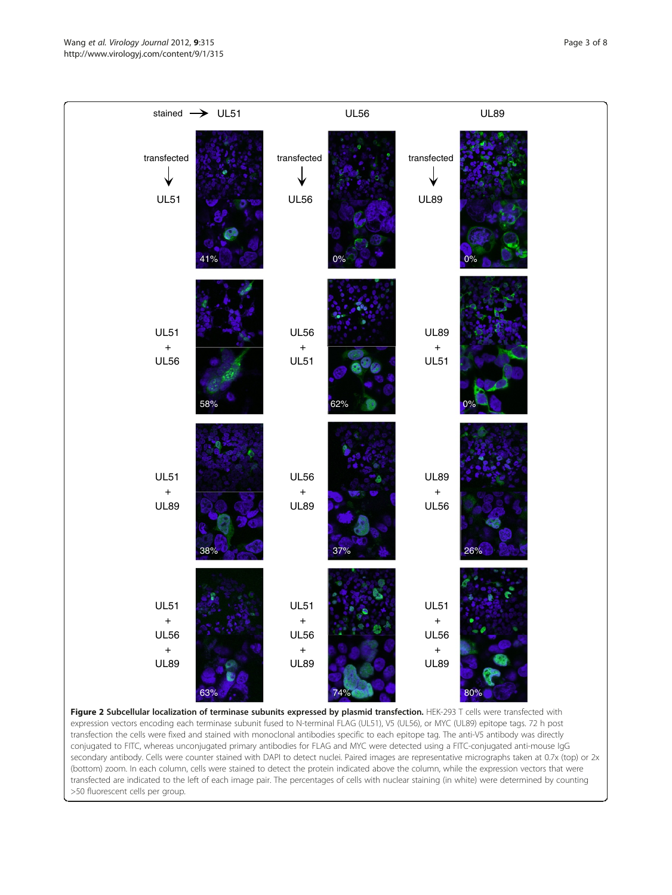<span id="page-2-0"></span>Wang et al. Virology Journal 2012, 9:315 **Page 3 of 8** Page 3 of 8 http://www.virologyj.com/content/9/1/315



Figure 2 Subcellular localization of terminase subunits expressed by plasmid transfection. HEK-293 T cells were transfected with expression vectors encoding each terminase subunit fused to N-terminal FLAG (UL51), V5 (UL56), or MYC (UL89) epitope tags. 72 h post transfection the cells were fixed and stained with monoclonal antibodies specific to each epitope tag. The anti-V5 antibody was directly conjugated to FITC, whereas unconjugated primary antibodies for FLAG and MYC were detected using a FITC-conjugated anti-mouse IgG secondary antibody. Cells were counter stained with DAPI to detect nuclei. Paired images are representative micrographs taken at 0.7x (top) or 2x (bottom) zoom. In each column, cells were stained to detect the protein indicated above the column, while the expression vectors that were transfected are indicated to the left of each image pair. The percentages of cells with nuclear staining (in white) were determined by counting >50 fluorescent cells per group.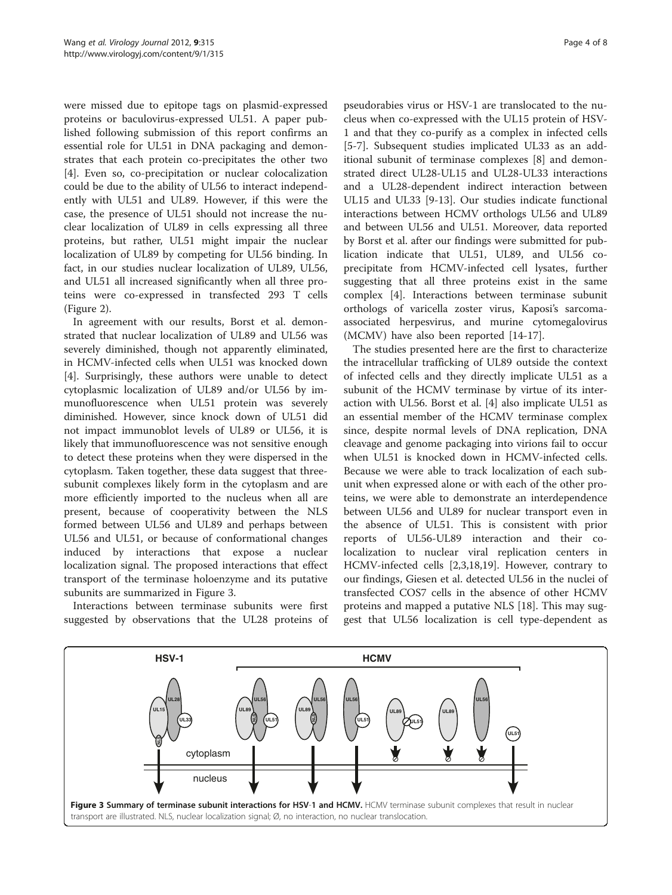were missed due to epitope tags on plasmid-expressed proteins or baculovirus-expressed UL51. A paper published following submission of this report confirms an essential role for UL51 in DNA packaging and demonstrates that each protein co-precipitates the other two [[4\]](#page-6-0). Even so, co-precipitation or nuclear colocalization could be due to the ability of UL56 to interact independently with UL51 and UL89. However, if this were the case, the presence of UL51 should not increase the nuclear localization of UL89 in cells expressing all three proteins, but rather, UL51 might impair the nuclear localization of UL89 by competing for UL56 binding. In fact, in our studies nuclear localization of UL89, UL56, and UL51 all increased significantly when all three proteins were co-expressed in transfected 293 T cells (Figure [2](#page-2-0)).

In agreement with our results, Borst et al. demonstrated that nuclear localization of UL89 and UL56 was severely diminished, though not apparently eliminated, in HCMV-infected cells when UL51 was knocked down [[4\]](#page-6-0). Surprisingly, these authors were unable to detect cytoplasmic localization of UL89 and/or UL56 by immunofluorescence when UL51 protein was severely diminished. However, since knock down of UL51 did not impact immunoblot levels of UL89 or UL56, it is likely that immunofluorescence was not sensitive enough to detect these proteins when they were dispersed in the cytoplasm. Taken together, these data suggest that threesubunit complexes likely form in the cytoplasm and are more efficiently imported to the nucleus when all are present, because of cooperativity between the NLS formed between UL56 and UL89 and perhaps between UL56 and UL51, or because of conformational changes induced by interactions that expose a nuclear localization signal. The proposed interactions that effect transport of the terminase holoenzyme and its putative subunits are summarized in Figure 3.

Interactions between terminase subunits were first suggested by observations that the UL28 proteins of

pseudorabies virus or HSV-1 are translocated to the nucleus when co-expressed with the UL15 protein of HSV-1 and that they co-purify as a complex in infected cells [[5-7](#page-6-0)]. Subsequent studies implicated UL33 as an additional subunit of terminase complexes [\[8](#page-6-0)] and demonstrated direct UL28-UL15 and UL28-UL33 interactions and a UL28-dependent indirect interaction between UL15 and UL33 [\[9](#page-6-0)-[13\]](#page-6-0). Our studies indicate functional interactions between HCMV orthologs UL56 and UL89 and between UL56 and UL51. Moreover, data reported by Borst et al. after our findings were submitted for publication indicate that UL51, UL89, and UL56 coprecipitate from HCMV-infected cell lysates, further suggesting that all three proteins exist in the same complex [\[4\]](#page-6-0). Interactions between terminase subunit orthologs of varicella zoster virus, Kaposi's sarcomaassociated herpesvirus, and murine cytomegalovirus (MCMV) have also been reported [\[14](#page-6-0)-[17\]](#page-6-0).

The studies presented here are the first to characterize the intracellular trafficking of UL89 outside the context of infected cells and they directly implicate UL51 as a subunit of the HCMV terminase by virtue of its interaction with UL56. Borst et al. [\[4](#page-6-0)] also implicate UL51 as an essential member of the HCMV terminase complex since, despite normal levels of DNA replication, DNA cleavage and genome packaging into virions fail to occur when UL51 is knocked down in HCMV-infected cells. Because we were able to track localization of each subunit when expressed alone or with each of the other proteins, we were able to demonstrate an interdependence between UL56 and UL89 for nuclear transport even in the absence of UL51. This is consistent with prior reports of UL56-UL89 interaction and their colocalization to nuclear viral replication centers in HCMV-infected cells [[2](#page-6-0),[3,18](#page-6-0),[19](#page-6-0)]. However, contrary to our findings, Giesen et al. detected UL56 in the nuclei of transfected COS7 cells in the absence of other HCMV proteins and mapped a putative NLS [\[18\]](#page-6-0). This may suggest that UL56 localization is cell type-dependent as

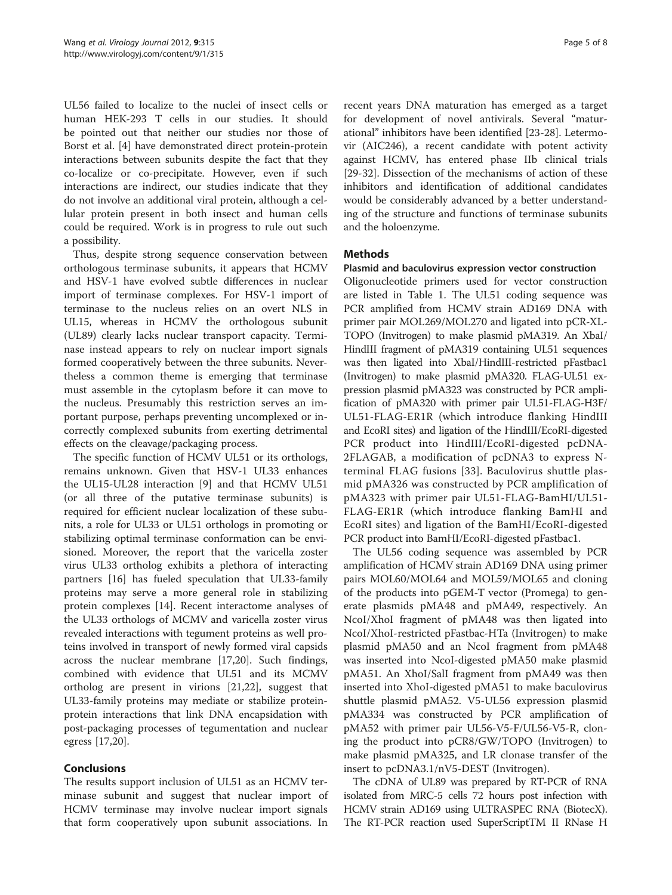UL56 failed to localize to the nuclei of insect cells or human HEK-293 T cells in our studies. It should be pointed out that neither our studies nor those of Borst et al. [\[4](#page-6-0)] have demonstrated direct protein-protein interactions between subunits despite the fact that they co-localize or co-precipitate. However, even if such interactions are indirect, our studies indicate that they do not involve an additional viral protein, although a cellular protein present in both insect and human cells could be required. Work is in progress to rule out such a possibility.

Thus, despite strong sequence conservation between orthologous terminase subunits, it appears that HCMV and HSV-1 have evolved subtle differences in nuclear import of terminase complexes. For HSV-1 import of terminase to the nucleus relies on an overt NLS in UL15, whereas in HCMV the orthologous subunit (UL89) clearly lacks nuclear transport capacity. Terminase instead appears to rely on nuclear import signals formed cooperatively between the three subunits. Nevertheless a common theme is emerging that terminase must assemble in the cytoplasm before it can move to the nucleus. Presumably this restriction serves an important purpose, perhaps preventing uncomplexed or incorrectly complexed subunits from exerting detrimental effects on the cleavage/packaging process.

The specific function of HCMV UL51 or its orthologs, remains unknown. Given that HSV-1 UL33 enhances the UL15-UL28 interaction [[9\]](#page-6-0) and that HCMV UL51 (or all three of the putative terminase subunits) is required for efficient nuclear localization of these subunits, a role for UL33 or UL51 orthologs in promoting or stabilizing optimal terminase conformation can be envisioned. Moreover, the report that the varicella zoster virus UL33 ortholog exhibits a plethora of interacting partners [[16\]](#page-6-0) has fueled speculation that UL33-family proteins may serve a more general role in stabilizing protein complexes [[14\]](#page-6-0). Recent interactome analyses of the UL33 orthologs of MCMV and varicella zoster virus revealed interactions with tegument proteins as well proteins involved in transport of newly formed viral capsids across the nuclear membrane [\[17,20](#page-6-0)]. Such findings, combined with evidence that UL51 and its MCMV ortholog are present in virions [[21,22](#page-6-0)], suggest that UL33-family proteins may mediate or stabilize proteinprotein interactions that link DNA encapsidation with post-packaging processes of tegumentation and nuclear egress [[17,20](#page-6-0)].

# Conclusions

The results support inclusion of UL51 as an HCMV terminase subunit and suggest that nuclear import of HCMV terminase may involve nuclear import signals that form cooperatively upon subunit associations. In

recent years DNA maturation has emerged as a target for development of novel antivirals. Several "maturational" inhibitors have been identified [\[23-](#page-6-0)[28](#page-7-0)]. Letermovir (AIC246), a recent candidate with potent activity against HCMV, has entered phase IIb clinical trials [[29-32](#page-7-0)]. Dissection of the mechanisms of action of these inhibitors and identification of additional candidates would be considerably advanced by a better understanding of the structure and functions of terminase subunits and the holoenzyme.

# **Methods**

# Plasmid and baculovirus expression vector construction

Oligonucleotide primers used for vector construction are listed in Table [1](#page-5-0). The UL51 coding sequence was PCR amplified from HCMV strain AD169 DNA with primer pair MOL269/MOL270 and ligated into pCR-XL-TOPO (Invitrogen) to make plasmid pMA319. An XbaI/ HindIII fragment of pMA319 containing UL51 sequences was then ligated into XbaI/HindIII-restricted pFastbac1 (Invitrogen) to make plasmid pMA320. FLAG-UL51 expression plasmid pMA323 was constructed by PCR amplification of pMA320 with primer pair UL51-FLAG-H3F/ UL51-FLAG-ER1R (which introduce flanking HindIII and EcoRI sites) and ligation of the HindIII/EcoRI-digested PCR product into HindIII/EcoRI-digested pcDNA-2FLAGAB, a modification of pcDNA3 to express Nterminal FLAG fusions [[33](#page-7-0)]. Baculovirus shuttle plasmid pMA326 was constructed by PCR amplification of pMA323 with primer pair UL51-FLAG-BamHI/UL51- FLAG-ER1R (which introduce flanking BamHI and EcoRI sites) and ligation of the BamHI/EcoRI-digested PCR product into BamHI/EcoRI-digested pFastbac1.

The UL56 coding sequence was assembled by PCR amplification of HCMV strain AD169 DNA using primer pairs MOL60/MOL64 and MOL59/MOL65 and cloning of the products into pGEM-T vector (Promega) to generate plasmids pMA48 and pMA49, respectively. An NcoI/XhoI fragment of pMA48 was then ligated into NcoI/XhoI-restricted pFastbac-HTa (Invitrogen) to make plasmid pMA50 and an NcoI fragment from pMA48 was inserted into NcoI-digested pMA50 make plasmid pMA51. An XhoI/SalI fragment from pMA49 was then inserted into XhoI-digested pMA51 to make baculovirus shuttle plasmid pMA52. V5-UL56 expression plasmid pMA334 was constructed by PCR amplification of pMA52 with primer pair UL56-V5-F/UL56-V5-R, cloning the product into pCR8/GW/TOPO (Invitrogen) to make plasmid pMA325, and LR clonase transfer of the insert to pcDNA3.1/nV5-DEST (Invitrogen).

The cDNA of UL89 was prepared by RT-PCR of RNA isolated from MRC-5 cells 72 hours post infection with HCMV strain AD169 using ULTRASPEC RNA (BiotecX). The RT-PCR reaction used SuperScriptTM II RNase H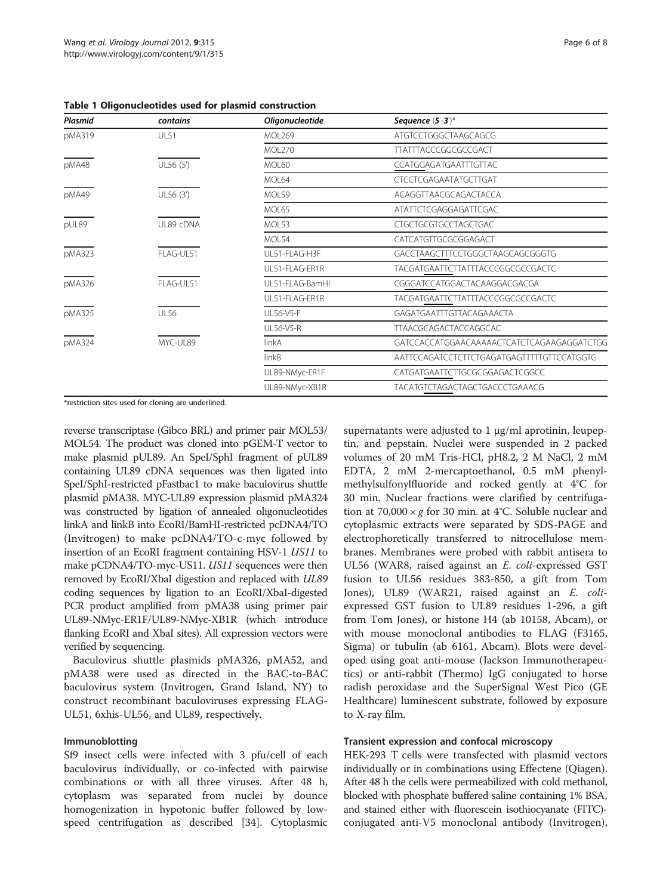<span id="page-5-0"></span>Table 1 Oligonucleotides used for plasmid construction

| Plasmid | contains    | Oligonucleotide  | Sequence $(5^{\circ}\text{-}3^{\circ})^*$  |
|---------|-------------|------------------|--------------------------------------------|
| pMA319  | <b>UL51</b> | <b>MOL269</b>    | ATGTCCTGGGCTAAGCAGCG                       |
|         |             | <b>MOL270</b>    | <b>TTATTTACCCGGCGCCGACT</b>                |
| pMA48   | UL56 (5')   | <b>MOL60</b>     | CCATGGAGATGAATTTGTTAC                      |
|         |             | MOL64            | <b>CTCCTCGAGAATATGCTTGAT</b>               |
| pMA49   | UL56 (3')   | MOL59            | ACAGGTTAACGCAGACTACCA                      |
|         |             | MOL65            | ATATTCTCGAGGAGATTCGAC                      |
| pUL89   | UL89 cDNA   | MOL53            | <b>CTGCTGCGTGCCTAGCTGAC</b>                |
|         |             | MOL54            | CATCATGTTGCGCGGAGACT                       |
| pMA323  | FLAG-UL51   | UL51-FLAG-H3F    | GACCTAAGCTTTCCTGGGCTAAGCAGCGGGTG           |
|         |             | UL51-FLAG-ER1R   | TACGATGAATTCTTATTTACCCGGCGCCGACTC          |
| pMA326  | FLAG-UL51   | UL51-FLAG-BamHL  | CGGGATCCATGGACTACAAGGACGACGA               |
|         |             | UL51-FLAG-ER1R   | TACGATGAATTCTTATTTACCCGGCGCCGACTC          |
| pMA325  | <b>UL56</b> | UL56-V5-F        | GAGATGAATTTGTTACAGAAACTA                   |
|         |             | <b>UL56-V5-R</b> | TTAACGCAGACTACCAGGCAC                      |
| pMA324  | MYC-UL89    | linkA            | GATCCACCATGGAACAAAAACTCATCTCAGAAGAGGATCTGG |
|         |             | linkB            | AATTCCAGATCCTCTTCTGAGATGAGTTTTTGTTCCATGGTG |
|         |             | UL89-NMyc-ER1F   | CATGATGAATTCTTGCGCGGAGACTCGGCC             |
|         |             | UL89-NMyc-XB1R   | TACATGTCTAGACTAGCTGACCCTGAAACG             |

\*restriction sites used for cloning are underlined.

reverse transcriptase (Gibco BRL) and primer pair MOL53/ MOL54. The product was cloned into pGEM-T vector to make plasmid pUL89. An SpeI/SphI fragment of pUL89 containing UL89 cDNA sequences was then ligated into SpeI/SphI-restricted pFastbac1 to make baculovirus shuttle plasmid pMA38. MYC-UL89 expression plasmid pMA324 was constructed by ligation of annealed oligonucleotides linkA and linkB into EcoRI/BamHI-restricted pcDNA4/TO (Invitrogen) to make pcDNA4/TO-c-myc followed by insertion of an EcoRI fragment containing HSV-1 US11 to make pCDNA4/TO-myc-US11. US11 sequences were then removed by EcoRI/XbaI digestion and replaced with UL89 coding sequences by ligation to an EcoRI/XbaI-digested PCR product amplified from pMA38 using primer pair UL89-NMyc-ER1F/UL89-NMyc-XB1R (which introduce flanking EcoRI and XbaI sites). All expression vectors were verified by sequencing.

Baculovirus shuttle plasmids pMA326, pMA52, and pMA38 were used as directed in the BAC-to-BAC baculovirus system (Invitrogen, Grand Island, NY) to construct recombinant baculoviruses expressing FLAG-UL51, 6xhis-UL56, and UL89, respectively.

## Immunoblotting

Sf9 insect cells were infected with 3 pfu/cell of each baculovirus individually, or co-infected with pairwise combinations or with all three viruses. After 48 h, cytoplasm was separated from nuclei by dounce homogenization in hypotonic buffer followed by lowspeed centrifugation as described [\[34](#page-7-0)]. Cytoplasmic

supernatants were adjusted to 1 μg/ml aprotinin, leupeptin, and pepstain. Nuclei were suspended in 2 packed volumes of 20 mM Tris-HCl, pH8.2, 2 M NaCl, 2 mM EDTA, 2 mM 2-mercaptoethanol, 0.5 mM phenylmethylsulfonylfluoride and rocked gently at 4°C for 30 min. Nuclear fractions were clarified by centrifugation at  $70,000 \times g$  for 30 min. at 4°C. Soluble nuclear and cytoplasmic extracts were separated by SDS-PAGE and electrophoretically transferred to nitrocellulose membranes. Membranes were probed with rabbit antisera to UL56 (WAR8, raised against an E. coli-expressed GST fusion to UL56 residues 383-850, a gift from Tom Jones), UL89 (WAR21, raised against an E. coliexpressed GST fusion to UL89 residues 1-296, a gift from Tom Jones), or histone H4 (ab 10158, Abcam), or with mouse monoclonal antibodies to FLAG (F3165, Sigma) or tubulin (ab 6161, Abcam). Blots were developed using goat anti-mouse (Jackson Immunotherapeutics) or anti-rabbit (Thermo) IgG conjugated to horse radish peroxidase and the SuperSignal West Pico (GE Healthcare) luminescent substrate, followed by exposure to X-ray film.

## Transient expression and confocal microscopy

HEK-293 T cells were transfected with plasmid vectors individually or in combinations using Effectene (Qiagen). After 48 h the cells were permeabilized with cold methanol, blocked with phosphate buffered saline containing 1% BSA, and stained either with fluorescein isothiocyanate (FITC) conjugated anti-V5 monoclonal antibody (Invitrogen),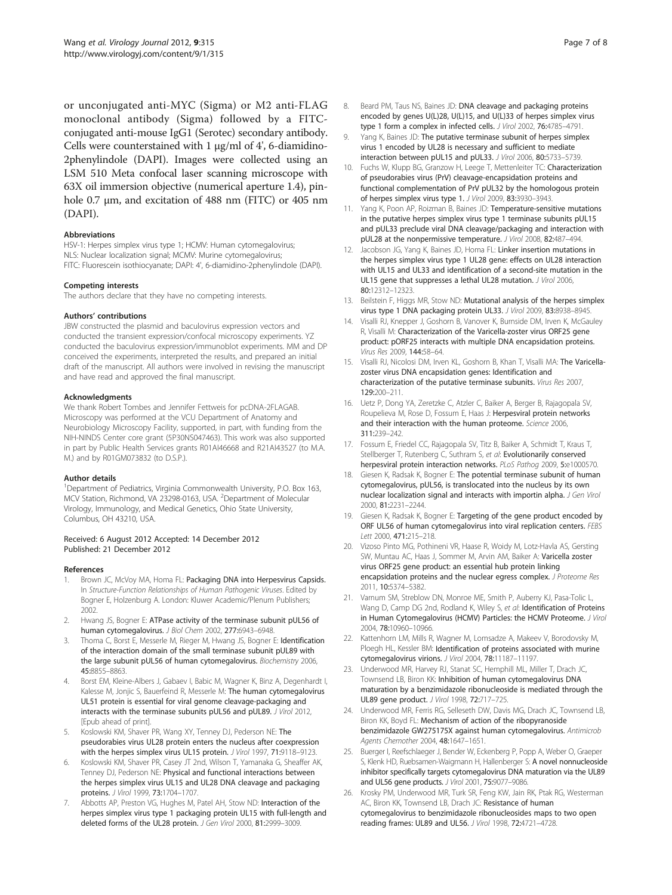<span id="page-6-0"></span>or unconjugated anti-MYC (Sigma) or M2 anti-FLAG monoclonal antibody (Sigma) followed by a FITCconjugated anti-mouse IgG1 (Serotec) secondary antibody. Cells were counterstained with 1 μg/ml of 4', 6-diamidino-2phenylindole (DAPI). Images were collected using an LSM 510 Meta confocal laser scanning microscope with 63X oil immersion objective (numerical aperture 1.4), pinhole 0.7 μm, and excitation of 488 nm (FITC) or 405 nm (DAPI).

#### Abbreviations

HSV-1: Herpes simplex virus type 1; HCMV: Human cytomegalovirus; NLS: Nuclear localization signal; MCMV: Murine cytomegalovirus; FITC: Fluorescein isothiocyanate; DAPI: 4', 6-diamidino-2phenylindole (DAPI).

#### Competing interests

The authors declare that they have no competing interests.

#### Authors' contributions

JBW constructed the plasmid and baculovirus expression vectors and conducted the transient expression/confocal microscopy experiments. YZ conducted the baculovirus expression/immunoblot experiments. MM and DP conceived the experiments, interpreted the results, and prepared an initial draft of the manuscript. All authors were involved in revising the manuscript and have read and approved the final manuscript.

#### Acknowledgments

We thank Robert Tombes and Jennifer Fettweis for pcDNA-2FLAGAB. Microscopy was performed at the VCU Department of Anatomy and Neurobiology Microscopy Facility, supported, in part, with funding from the NIH-NINDS Center core grant (5P30NS047463). This work was also supported in part by Public Health Services grants R01AI46668 and R21AI43527 (to M.A. M.) and by R01GM073832 (to D.S.P.).

#### Author details

<sup>1</sup>Department of Pediatrics, Virginia Commonwealth University, P.O. Box 163, MCV Station, Richmond, VA 23298-0163, USA. <sup>2</sup>Department of Molecular Virology, Immunology, and Medical Genetics, Ohio State University, Columbus, OH 43210, USA.

#### Received: 6 August 2012 Accepted: 14 December 2012 Published: 21 December 2012

#### References

- 1. Brown JC, McVoy MA, Homa FL: Packaging DNA into Herpesvirus Capsids. In Structure-Function Relationships of Human Pathogenic Viruses. Edited by Bogner E, Holzenburg A. London: Kluwer Academic/Plenum Publishers; 2002.
- 2. Hwang JS, Bogner E: ATPase activity of the terminase subunit pUL56 of human cytomegalovirus. J Biol Chem 2002, 277:6943-6948.
- 3. Thoma C, Borst E, Messerle M, Rieger M, Hwang JS, Bogner E: Identification of the interaction domain of the small terminase subunit pUL89 with the large subunit pUL56 of human cytomegalovirus. Biochemistry 2006, 45:8855–8863.
- 4. Borst EM, Kleine-Albers J, Gabaev I, Babic M, Wagner K, Binz A, Degenhardt I, Kalesse M, Jonjic S, Bauerfeind R, Messerle M: The human cytomegalovirus UL51 protein is essential for viral genome cleavage-packaging and interacts with the terminase subunits pUL56 and pUL89. J Virol 2012, [Epub ahead of print].
- 5. Koslowski KM, Shaver PR, Wang XY, Tenney DJ, Pederson NE: The pseudorabies virus UL28 protein enters the nucleus after coexpression with the herpes simplex virus UL15 protein. J Virol 1997, 71:9118-9123.
- Koslowski KM, Shaver PR, Casey JT 2nd, Wilson T, Yamanaka G, Sheaffer AK, Tenney DJ, Pederson NE: Physical and functional interactions between the herpes simplex virus UL15 and UL28 DNA cleavage and packaging proteins. J Virol 1999, 73:1704–1707.
- Abbotts AP, Preston VG, Hughes M, Patel AH, Stow ND: Interaction of the herpes simplex virus type 1 packaging protein UL15 with full-length and deleted forms of the UL28 protein. J Gen Virol 2000, 81:2999–3009.
- Beard PM, Taus NS, Baines JD: DNA cleavage and packaging proteins encoded by genes U(L)28, U(L)15, and U(L)33 of herpes simplex virus type 1 form a complex in infected cells. J Virol 2002, 76:4785–4791.
- Yang K, Baines JD: The putative terminase subunit of herpes simplex virus 1 encoded by UL28 is necessary and sufficient to mediate interaction between pUL15 and pUL33. J Virol 2006, 80:5733–5739.
- 10. Fuchs W, Klupp BG, Granzow H, Leege T, Mettenleiter TC: Characterization of pseudorabies virus (PrV) cleavage-encapsidation proteins and functional complementation of PrV pUL32 by the homologous protein of herpes simplex virus type 1. J Virol 2009, 83:3930–3943.
- 11. Yang K, Poon AP, Roizman B, Baines JD: Temperature-sensitive mutations in the putative herpes simplex virus type 1 terminase subunits pUL15 and pUL33 preclude viral DNA cleavage/packaging and interaction with pUL28 at the nonpermissive temperature. J Virol 2008, 82:487–494.
- 12. Jacobson JG, Yang K, Baines JD, Homa FL: Linker insertion mutations in the herpes simplex virus type 1 UL28 gene: effects on UL28 interaction with UL15 and UL33 and identification of a second-site mutation in the UL15 gene that suppresses a lethal UL28 mutation. J Virol 2006, 80:12312–12323.
- 13. Beilstein F, Higgs MR, Stow ND: Mutational analysis of the herpes simplex virus type 1 DNA packaging protein UL33. J Virol 2009, 83:8938–8945.
- 14. Visalli RJ, Knepper J, Goshorn B, Vanover K, Burnside DM, Irven K, McGauley R, Visalli M: Characterization of the Varicella-zoster virus ORF25 gene product: pORF25 interacts with multiple DNA encapsidation proteins. Virus Res 2009, 144:58–64.
- 15. Visalli RJ, Nicolosi DM, Irven KL, Goshorn B, Khan T, Visalli MA: The Varicellazoster virus DNA encapsidation genes: Identification and characterization of the putative terminase subunits. Virus Res 2007, 129:200–211.
- 16. Uetz P, Dong YA, Zeretzke C, Atzler C, Baiker A, Berger B, Rajagopala SV, Roupelieva M, Rose D, Fossum E, Haas J: Herpesviral protein networks and their interaction with the human proteome. Science 2006, 311:239–242.
- 17. Fossum E, Friedel CC, Rajagopala SV, Titz B, Baiker A, Schmidt T, Kraus T, Stellberger T, Rutenberg C, Suthram S, et al: Evolutionarily conserved herpesviral protein interaction networks. PLoS Pathog 2009, 5:e1000570.
- 18. Giesen K, Radsak K, Bogner E: The potential terminase subunit of human cytomegalovirus, pUL56, is translocated into the nucleus by its own nuclear localization signal and interacts with importin alpha. J Gen Virol 2000, 81:2231–2244.
- 19. Giesen K, Radsak K, Bogner E: Targeting of the gene product encoded by ORF UL56 of human cytomegalovirus into viral replication centers. FEBS Lett 2000, 471:215-218.
- 20. Vizoso Pinto MG, Pothineni VR, Haase R, Woidy M, Lotz-Havla AS, Gersting SW, Muntau AC, Haas J, Sommer M, Arvin AM, Baiker A: Varicella zoster virus ORF25 gene product: an essential hub protein linking encapsidation proteins and the nuclear egress complex. J Proteome Res 2011, 10:5374–5382.
- 21. Varnum SM, Streblow DN, Monroe ME, Smith P, Auberry KJ, Pasa-Tolic L, Wang D, Camp DG 2nd, Rodland K, Wiley S, et al: Identification of Proteins in Human Cytomegalovirus (HCMV) Particles: the HCMV Proteome. J Virol 2004, 78:10960–10966.
- 22. Kattenhorn LM, Mills R, Wagner M, Lomsadze A, Makeev V, Borodovsky M, Ploegh HL, Kessler BM: Identification of proteins associated with murine cytomegalovirus virions. J Virol 2004, 78:11187–11197.
- 23. Underwood MR, Harvey RJ, Stanat SC, Hemphill ML, Miller T, Drach JC, Townsend LB, Biron KK: Inhibition of human cytomegalovirus DNA maturation by a benzimidazole ribonucleoside is mediated through the UL89 gene product. J Virol 1998, 72:717–725.
- 24. Underwood MR, Ferris RG, Selleseth DW, Davis MG, Drach JC, Townsend LB, Biron KK, Boyd FL: Mechanism of action of the ribopyranoside benzimidazole GW275175X against human cytomegalovirus. Antimicrob Agents Chemother 2004, 48:1647–1651.
- 25. Buerger I, Reefschlaeger J, Bender W, Eckenberg P, Popp A, Weber O, Graeper S, Klenk HD, Ruebsamen-Waigmann H, Hallenberger S: A novel nonnucleoside inhibitor specifically targets cytomegalovirus DNA maturation via the UL89 and UL56 gene products. J Virol 2001, 75:9077–9086.
- 26. Krosky PM, Underwood MR, Turk SR, Feng KW, Jain RK, Ptak RG, Westerman AC, Biron KK, Townsend LB, Drach JC: Resistance of human cytomegalovirus to benzimidazole ribonucleosides maps to two open reading frames: UL89 and UL56. J Virol 1998, 72:4721–4728.